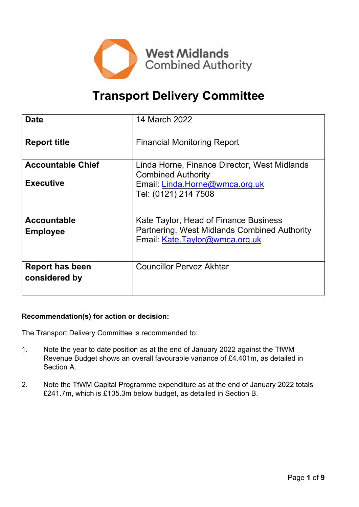

# **Transport Delivery Committee**

| <b>Date</b>                             | 14 March 2022                                                                                                           |
|-----------------------------------------|-------------------------------------------------------------------------------------------------------------------------|
| <b>Report title</b>                     | <b>Financial Monitoring Report</b>                                                                                      |
| <b>Accountable Chief</b>                | Linda Horne, Finance Director, West Midlands<br><b>Combined Authority</b>                                               |
| <b>Executive</b>                        | Email: Linda.Horne@wmca.org.uk<br>Tel: (0121) 214 7508                                                                  |
| <b>Accountable</b><br><b>Employee</b>   | Kate Taylor, Head of Finance Business<br>Partnering, West Midlands Combined Authority<br>Email: Kate.Taylor@wmca.org.uk |
| <b>Report has been</b><br>considered by | <b>Councillor Pervez Akhtar</b>                                                                                         |

#### **Recommendation(s) for action or decision:**

The Transport Delivery Committee is recommended to:

- 1. Note the year to date position as at the end of January 2022 against the TfWM Revenue Budget shows an overall favourable variance of £4.401m, as detailed in Section A.
- 2. Note the TfWM Capital Programme expenditure as at the end of January 2022 totals £241.7m, which is £105.3m below budget, as detailed in Section B.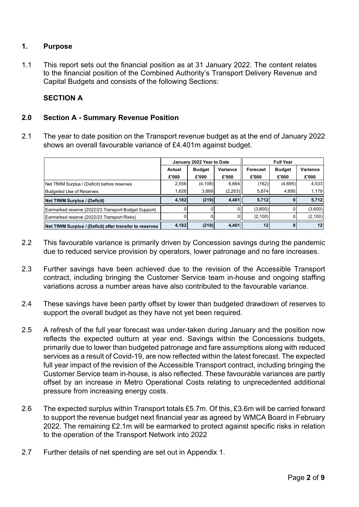#### **1. Purpose**

1.1 This report sets out the financial position as at 31 January 2022. The content relates to the financial position of the Combined Authority's Transport Delivery Revenue and Capital Budgets and consists of the following Sections:

#### **SECTION A**

#### **2.0 Section A - Summary Revenue Position**

2.1 The year to date position on the Transport revenue budget as at the end of January 2022 shows an overall favourable variance of £4.401m against budget.

|                                                         |        | January 2022 Year to Date |          | <b>Full Year</b> |               |          |  |
|---------------------------------------------------------|--------|---------------------------|----------|------------------|---------------|----------|--|
|                                                         | Actual | <b>Budget</b>             | Variance | Forecast         | <b>Budget</b> | Variance |  |
|                                                         | £'000  | £'000                     | £'000    | £'000            | £'000         | £'000    |  |
| Net TfWM Surplus / (Deficit) before reserves            | 2,556  | (4, 108)                  | 6,664    | (162)            | (4,695)       | 4,533    |  |
| <b>Budgeted Use of Reserves</b>                         | 1,626  | 3,889                     | (2,263)  | 5,874            | 4,695         | 1,179    |  |
| Net TfWM Surplus / (Deficit)                            | 4,182  | (219)                     | 4,401    | 5,712            |               | 5,712    |  |
| Earmarked reserve (2022/23 Transport Budget Support)    |        |                           |          | (3,600)          |               | (3,600)  |  |
| Earmarked reserve (2022/23 Transport Risks)             |        |                           |          | (2,100)          |               | (2, 100) |  |
| Net TfWM Surplus / (Deficit) after transfer to reserves | 4,182  | (219)                     | 4,401    | 12               |               | 12       |  |

- 2.2 This favourable variance is primarily driven by Concession savings during the pandemic due to reduced service provision by operators, lower patronage and no fare increases.
- 2.3 Further savings have been achieved due to the revision of the Accessible Transport contract, including bringing the Customer Service team in-house and ongoing staffing variations across a number areas have also contributed to the favourable variance.
- 2.4 These savings have been partly offset by lower than budgeted drawdown of reserves to support the overall budget as they have not yet been required.
- 2.5 A refresh of the full year forecast was under-taken during January and the position now reflects the expected outturn at year end. Savings within the Concessions budgets, primarily due to lower than budgeted patronage and fare assumptions along with reduced services as a result of Covid-19, are now reflected within the latest forecast. The expected full year impact of the revision of the Accessible Transport contract, including bringing the Customer Service team in-house, is also reflected. These favourable variances are partly offset by an increase in Metro Operational Costs relating to unprecedented additional pressure from increasing energy costs.
- 2.6 The expected surplus within Transport totals £5.7m. Of this, £3.6m will be carried forward to support the revenue budget next financial year as agreed by WMCA Board in February 2022. The remaining £2.1m will be earmarked to protect against specific risks in relation to the operation of the Transport Network into 2022
- 2.7 Further details of net spending are set out in Appendix 1.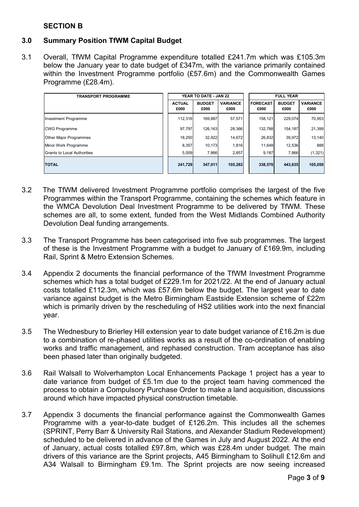#### **SECTION B**

#### **3.0 Summary Position TfWM Capital Budget**

3.1 Overall, TfWM Capital Programme expenditure totalled £241.7m which was £105.3m below the January year to date budget of £347m, with the variance primarily contained within the Investment Programme portfolio (£57.6m) and the Commonwealth Games Programme (£28.4m).

| <b>TRANSPORT PROGRAMME</b>    |                       | YEAR TO DATE - JAN 22 |                         | <b>FULL YEAR</b>        |                       |                         |  |
|-------------------------------|-----------------------|-----------------------|-------------------------|-------------------------|-----------------------|-------------------------|--|
|                               | <b>ACTUAL</b><br>£000 | <b>BUDGET</b><br>£000 | <b>VARIANCE</b><br>£000 | <b>FORECAST</b><br>£000 | <b>BUDGET</b><br>£000 | <b>VARIANCE</b><br>£000 |  |
| Investment Programme          | 112.316               | 169.887               | 57.571                  | 158.121                 | 229.074               | 70,953                  |  |
| CWG Programme                 | 97.797                | 126.163               | 28,366                  | 132.788                 | 154,187               | 21,399                  |  |
| <b>Other Major Programmes</b> | 18.250                | 32.922                | 14,672                  | 26,832                  | 39.972                | 13,140                  |  |
| Minor Work Programme          | 8,357                 | 10.173                | 1,816                   | 11,648                  | 12,536                | 888                     |  |
| Grants to Local Authorities   | 5,009                 | 7,866                 | 2,857                   | 9,187                   | 7,866                 | (1, 321)                |  |
| <b>TOTAL</b>                  | 241,729               | 347,011               | 105,282                 | 338,576                 | 443,635               | 105,059                 |  |

- 3.2 The TfWM delivered Investment Programme portfolio comprises the largest of the five Programmes within the Transport Programme, containing the schemes which feature in the WMCA Devolution Deal Investment Programme to be delivered by TfWM. These schemes are all, to some extent, funded from the West Midlands Combined Authority Devolution Deal funding arrangements.
- 3.3 The Transport Programme has been categorised into five sub programmes. The largest of these is the Investment Programme with a budget to January of £169.9m, including Rail, Sprint & Metro Extension Schemes.
- 3.4 Appendix 2 documents the financial performance of the TfWM Investment Programme schemes which has a total budget of £229.1m for 2021/22. At the end of January actual costs totalled £112.3m, which was £57.6m below the budget. The largest year to date variance against budget is the Metro Birmingham Eastside Extension scheme of £22m which is primarily driven by the rescheduling of HS2 utilities work into the next financial year.
- 3.5 The Wednesbury to Brierley Hill extension year to date budget variance of £16.2m is due to a combination of re-phased utilities works as a result of the co-ordination of enabling works and traffic management, and rephased construction. Tram acceptance has also been phased later than originally budgeted.
- 3.6 Rail Walsall to Wolverhampton Local Enhancements Package 1 project has a year to date variance from budget of £5.1m due to the project team having commenced the process to obtain a Compulsory Purchase Order to make a land acquisition, discussions around which have impacted physical construction timetable.
- 3.7 Appendix 3 documents the financial performance against the Commonwealth Games Programme with a year-to-date budget of £126.2m. This includes all the schemes (SPRINT, Perry Barr & University Rail Stations, and Alexander Stadium Redevelopment) scheduled to be delivered in advance of the Games in July and August 2022. At the end of January, actual costs totalled £97.8m, which was £28.4m under budget. The main drivers of this variance are the Sprint projects, A45 Birmingham to Solihull £12.6m and A34 Walsall to Birmingham £9.1m. The Sprint projects are now seeing increased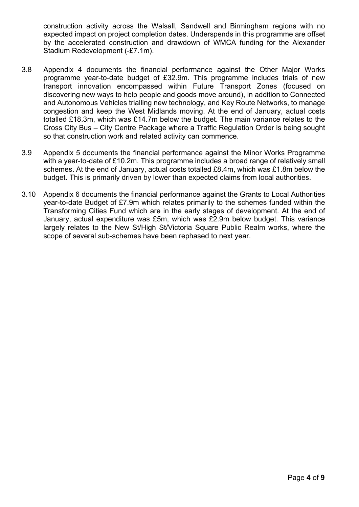construction activity across the Walsall, Sandwell and Birmingham regions with no expected impact on project completion dates. Underspends in this programme are offset by the accelerated construction and drawdown of WMCA funding for the Alexander Stadium Redevelopment (-£7.1m).

- 3.8 Appendix 4 documents the financial performance against the Other Major Works programme year-to-date budget of £32.9m. This programme includes trials of new transport innovation encompassed within Future Transport Zones (focused on discovering new ways to help people and goods move around), in addition to Connected and Autonomous Vehicles trialling new technology, and Key Route Networks, to manage congestion and keep the West Midlands moving. At the end of January, actual costs totalled £18.3m, which was £14.7m below the budget. The main variance relates to the Cross City Bus – City Centre Package where a Traffic Regulation Order is being sought so that construction work and related activity can commence.
- 3.9 Appendix 5 documents the financial performance against the Minor Works Programme with a year-to-date of £10.2m. This programme includes a broad range of relatively small schemes. At the end of January, actual costs totalled £8.4m, which was £1.8m below the budget. This is primarily driven by lower than expected claims from local authorities.
- 3.10 Appendix 6 documents the financial performance against the Grants to Local Authorities year-to-date Budget of £7.9m which relates primarily to the schemes funded within the Transforming Cities Fund which are in the early stages of development. At the end of January, actual expenditure was £5m, which was £2.9m below budget. This variance largely relates to the New St/High St/Victoria Square Public Realm works, where the scope of several sub-schemes have been rephased to next year.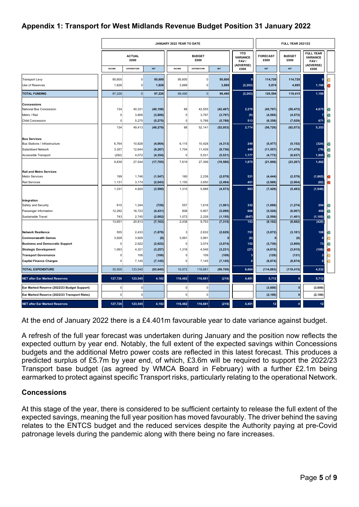### **Appendix 1: Transport for West Midlands Revenue Budget Position 31 January 2022**

|                                                  | JANUARY 2022 YEAR TO DATE |                    |                       |                       |                    |                       |                         | <b>FULL YEAR 2021/22</b> |                                                           |                |   |
|--------------------------------------------------|---------------------------|--------------------|-----------------------|-----------------------|--------------------|-----------------------|-------------------------|--------------------------|-----------------------------------------------------------|----------------|---|
|                                                  | <b>ACTUAL</b><br>£000     |                    |                       | <b>BUDGET</b><br>£000 |                    |                       | <b>FORECAST</b><br>£000 | <b>BUDGET</b><br>£000    | <b>FULL YEAR</b><br><b>VARIANCE</b><br>FAV /<br>(ADVERSE) |                |   |
|                                                  | INCOME                    | <b>EXPENDITURE</b> | <b>NET</b>            | INCOME                | <b>EXPENDITURE</b> | <b>NET</b>            | (ADVERSE)<br>£000       | <b>NET</b>               | <b>NET</b>                                                | £000           |   |
| <b>Transport Levy</b>                            | 95,600                    | $\overline{0}$     | 95,600                | 95,600                | 0                  | 95,600                |                         | 114,720                  | 114,720                                                   | $\mathbf{0}$   |   |
| Use of Reserves                                  | 1,626                     | $\Omega$           | 1,626                 | 3,889                 | $\Omega$           | 3,889                 | (2, 263)                | 5,874                    | 4,695                                                     | 1,180          |   |
| <b>TOTAL FUNDING</b>                             | 97,226                    | $\overline{0}$     | 97,226                | 99,490                | 0                  | 99,490                | (2, 263)                | 120,594                  | 119,415                                                   | 1,180          |   |
| <b>Concessions</b>                               |                           |                    |                       |                       |                    |                       |                         |                          |                                                           |                |   |
| National Bus Concession                          | 134                       | 40,331             | (40, 198)             | 88                    | 42,555             | (42, 467)             | 2,270                   | (45, 797)                | (50, 472)                                                 | 4,675          | O |
| Metro / Rail                                     | 0                         | 3,806              | (3, 806)              | 0                     | 3,797              | (3,797)               | (9)                     | (4, 565)                 | (4, 572)                                                  |                |   |
| <b>Child Concession</b>                          | $\Omega$                  | 5,275              | (5, 275)              | $\circ$               | 5,788              | (5,788)               | 513                     | (6, 358)                 | (7, 029)                                                  | 671            |   |
|                                                  | 134                       | 49,413             | (49, 279)             | 88                    | 52,141             | (52, 053)             | 2,774                   | (56, 720)                | (62, 073)                                                 | 5,353          |   |
| <b>Bus Services</b>                              |                           |                    |                       |                       |                    |                       |                         |                          |                                                           |                |   |
| Bus Stations / Infrastructure                    | 6,764                     | 10,828             | (4,064)               | 6,115                 | 10,428             | (4, 313)              | 249                     | (5, 477)                 | (5, 152)                                                  | (324)          | O |
| Subsidised Network                               | 3,357                     | 12,644             | (9, 287)              | 1,704                 | 11,439             | (9,736)               | 449                     | (11, 557)                | (11, 478)                                                 | (79)           |   |
| Accessible Transport                             | (282)<br>9,839            | 4,072<br>27,544    | (4, 354)<br>(17, 705) | 0<br>7,819            | 5,531<br>27,399    | (5, 531)<br>(19, 580) | 1,177<br>1,875          | (4, 772)<br>(21, 806)    | (6, 637)<br>(23, 267)                                     | 1,865<br>1,462 |   |
|                                                  |                           |                    |                       |                       |                    |                       |                         |                          |                                                           |                |   |
| <b>Rail and Metro Services</b><br>Metro Services | 199                       | 1,746              | (1, 547)              | 160                   | 2,238              | (2,078)               | 531                     | (4, 444)                 | (2, 579)                                                  | (1, 865)       |   |
| <b>Rail Services</b>                             | 1,131                     | 3,174              | (2, 043)              | 1,155                 | 3,650              | (2, 494)              | 451                     | (2,986)                  | (2,904)                                                   | (82)           |   |
|                                                  | 1,331                     | 4,920              | (3, 590)              | 1,315                 | 5,888              | (4, 573)              | 983                     | (7, 429)                 | (5, 483)                                                  | (1,946)        |   |
| Integration                                      |                           |                    |                       |                       |                    |                       |                         |                          |                                                           |                |   |
| Safety and Security                              | 615                       | 1,344              | (729)                 | 557                   | 1,618              | (1,061)               | 332                     | (1,069)                  | (1, 274)                                                  | 204            |   |
| Passenger Information                            | 12,292                    | 16,723             | (4, 431)              | 808                   | 5,907              | (5,099)               | 668                     | (5, 526)                 | (6,007)                                                   | 480            |   |
| Sustainable Travel                               | 743                       | 2,745              | (2,002)               | 1,072                 | 2,228              | (1, 155)              | (847)                   | (2, 506)                 | (1, 401)                                                  | (1, 105)       |   |
|                                                  | 13,651                    | 20,813             | (7, 163)              | 2,438                 | 9,753              | (7, 315)              | 153                     | (9, 102)                 | (8,682)                                                   | (420)          |   |
| <b>Network Resilience</b>                        | 555                       | 2,433              | (1, 878)              | 3                     | 2,632              | (2,629)               | 751                     | (3,072)                  | (3, 181)                                                  | 108            |   |
| <b>Commonwealth Games</b>                        | 3,928                     | 3,928              | (0)                   | 3,991                 | 3,991              |                       | (0)                     |                          | (0)                                                       | $\mathbf{0}$   |   |
| <b>Business and Democratic Support</b>           | $\mathbf 0$               | 2,922              | (2,922)               | 0                     | 3,074              | (3,074)               | 152                     | (3,736)                  | (3,809)                                                   | 73             |   |
| <b>Strategic Development</b>                     | 1,063                     | 4,321              | (3, 257)              | 1,318                 | 4,549              | (3, 231)              | (27)                    | (4, 015)                 | (3, 915)                                                  | (100)          |   |
| <b>Transport Governance</b>                      | $\Omega$                  | 106                | (106)                 | 0                     | 109                | (109)                 |                         | (129)                    | (131)                                                     | 3              |   |
| <b>Capital Finance Charges</b>                   | $\Omega$                  | 7,145              | (7, 145)              | 0                     | 7,145              | (7, 145)              |                         | (8, 874)                 | (8, 874)                                                  | $\Omega$       | R |
| <b>TOTAL EXPENDITURE</b>                         | 30,500                    | 123,545            | (93, 045)             | 16,972                | 116,681            | (99, 709)             | 6,664                   | (114, 883)               | (119, 415)                                                | 4,532          |   |
| <b>NET after Ear Marked Reserves</b>             | 127,726                   | 123,545            | 4,182                 | 116,462               | 116,681            | (219)                 | 4,401                   | 5,712                    | $\mathbf 0$                                               | 5,712          |   |
| Ear Marked Reserve (2022/23 Budget Support)      | $\overline{0}$            | 0                  |                       | 0                     | $\Omega$           |                       |                         | (3,600)                  | $\bf{0}$                                                  | (3,600)        |   |
| Ear Marked Reserve (2022/23 Transport Risks)     | $\overline{0}$            | $\overline{0}$     |                       | $\circ$               | $\Omega$           |                       |                         | (2, 100)                 | $\bf{0}$                                                  | (2, 100)       |   |
| <b>NET after Ear Marked Reserves</b>             | 127,726                   | 123,545            | 4,182                 | 116,462               | 116,681            | (219)                 | 4,401                   | 12                       | Ō                                                         | 12             |   |

At the end of January 2022 there is a £4.401m favourable year to date variance against budget.

A refresh of the full year forecast was undertaken during January and the position now reflects the expected outturn by year end. Notably, the full extent of the expected savings within Concessions budgets and the additional Metro power costs are reflected in this latest forecast. This produces a predicted surplus of £5.7m by year end, of which, £3.6m will be required to support the 2022/23 Transport base budget (as agreed by WMCA Board in February) with a further £2.1m being earmarked to protect against specific Transport risks, particularly relating to the operational Network.

#### **Concessions**

At this stage of the year, there is considered to be sufficient certainty to release the full extent of the expected savings, meaning the full year position has moved favourably. The driver behind the saving relates to the ENTCS budget and the reduced services despite the Authority paying at pre-Covid patronage levels during the pandemic along with there being no fare increases.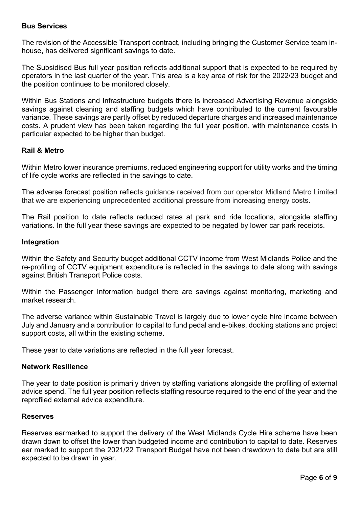#### **Bus Services**

The revision of the Accessible Transport contract, including bringing the Customer Service team inhouse, has delivered significant savings to date.

The Subsidised Bus full year position reflects additional support that is expected to be required by operators in the last quarter of the year. This area is a key area of risk for the 2022/23 budget and the position continues to be monitored closely.

Within Bus Stations and Infrastructure budgets there is increased Advertising Revenue alongside savings against cleaning and staffing budgets which have contributed to the current favourable variance. These savings are partly offset by reduced departure charges and increased maintenance costs. A prudent view has been taken regarding the full year position, with maintenance costs in particular expected to be higher than budget.

#### **Rail & Metro**

Within Metro lower insurance premiums, reduced engineering support for utility works and the timing of life cycle works are reflected in the savings to date.

The adverse forecast position reflects guidance received from our operator Midland Metro Limited that we are experiencing unprecedented additional pressure from increasing energy costs.

The Rail position to date reflects reduced rates at park and ride locations, alongside staffing variations. In the full year these savings are expected to be negated by lower car park receipts.

#### **Integration**

Within the Safety and Security budget additional CCTV income from West Midlands Police and the re-profiling of CCTV equipment expenditure is reflected in the savings to date along with savings against British Transport Police costs.

Within the Passenger Information budget there are savings against monitoring, marketing and market research.

The adverse variance within Sustainable Travel is largely due to lower cycle hire income between July and January and a contribution to capital to fund pedal and e-bikes, docking stations and project support costs, all within the existing scheme.

These year to date variations are reflected in the full year forecast.

#### **Network Resilience**

The year to date position is primarily driven by staffing variations alongside the profiling of external advice spend. The full year position reflects staffing resource required to the end of the year and the reprofiled external advice expenditure.

#### **Reserves**

Reserves earmarked to support the delivery of the West Midlands Cycle Hire scheme have been drawn down to offset the lower than budgeted income and contribution to capital to date. Reserves ear marked to support the 2021/22 Transport Budget have not been drawdown to date but are still expected to be drawn in year.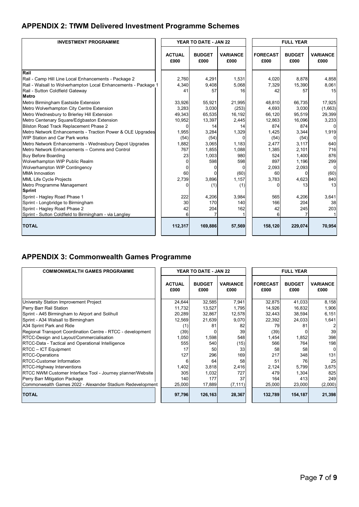## **APPENDIX 2: TfWM Delivered Investment Programme Schemes**

| <b>INVESTMENT PROGRAMME</b>                                    | YEAR TO DATE - JAN 22 |                       |                         |  | <b>FULL YEAR</b>        |                       |                         |
|----------------------------------------------------------------|-----------------------|-----------------------|-------------------------|--|-------------------------|-----------------------|-------------------------|
|                                                                | <b>ACTUAL</b><br>£000 | <b>BUDGET</b><br>£000 | <b>VARIANCE</b><br>£000 |  | <b>FORECAST</b><br>£000 | <b>BUDGET</b><br>£000 | <b>VARIANCE</b><br>£000 |
| Rail                                                           |                       |                       |                         |  |                         |                       |                         |
| Rail - Camp Hill Line Local Enhancements - Package 2           | 2.760                 | 4,291                 | 1,531                   |  | 4,020                   | 8.878                 | 4.858                   |
| Rail - Walsall to Wolverhampton Local Enhancements - Package 1 | 4,340                 | 9,408                 | 5,068                   |  | 7,329                   | 15,390                | 8,061                   |
| Rail - Sutton Coldfield Gateway                                | 41                    | 57                    | 16                      |  | 42                      | 57                    | 15                      |
| Metro                                                          |                       |                       |                         |  |                         |                       |                         |
| Metro Birmingham Eastside Extension                            | 33,926                | 55,921                | 21,995                  |  | 48.810                  | 66,735                | 17,925                  |
| Metro Wolverhampton City Centre Extension                      | 3,283                 | 3,030                 | (253)                   |  | 4,693                   | 3,030                 | (1,663)                 |
| Metro Wednesbury to Brierley Hill Extension                    | 49,343                | 65,535                | 16,192                  |  | 66,120                  | 95,519                | 29,399                  |
| Metro Centenary Square/Edgbaston Extension                     | 10,952                | 13,397                | 2,445                   |  | 12,863                  | 16,096                | 3,233                   |
| Bilston Road Track Replacement Phase 2                         | 0                     | 14                    | 14                      |  | 874                     | 874                   |                         |
| Metro Network Enhancements - Traction Power & OLE Upgrades     | 1,955                 | 3,284                 | 1,329                   |  | 1,425                   | 3,344                 | 1,919                   |
| <b>WIP Station and Car Park works</b>                          | (54)                  | (54)                  | $\Omega$                |  | (54)                    | (54)                  | n                       |
| Metro Network Enhancements - Wednesbury Depot Upgrades         | 1,882                 | 3,065                 | 1,183                   |  | 2,477                   | 3,117                 | 640                     |
| Metro Network Enhancements - Comms and Control                 | 767                   | 1,855                 | 1,088                   |  | 1,385                   | 2.101                 | 716                     |
| <b>Buy Before Boarding</b>                                     | 23                    | 1,003                 | 980                     |  | 524                     | 1,400                 | 876                     |
| Wolverhampton WIP Public Realm                                 | ŋ                     | 598                   | 598                     |  | 897                     | 1,196                 | 299                     |
| Wolverhampton WIP Contingency                                  |                       |                       |                         |  | 2,093                   | 2,093                 | $\Omega$                |
| <b>MMA</b> Innovation                                          | 60                    |                       | (60)                    |  | 60                      | <sup>0</sup>          | (60)                    |
| MML Life Cycle Projects                                        | 2,739                 | 3,896                 | 1,157                   |  | 3,783                   | 4,623                 | 840                     |
| Metro Programme Management                                     | U                     | (1)                   | (1)                     |  | $\Omega$                | 13                    | 13                      |
| Sprint                                                         |                       |                       |                         |  |                         |                       |                         |
| Sprint - Hagley Road Phase 1                                   | 222                   | 4.206                 | 3.984                   |  | 565                     | 4.206                 | 3,641                   |
| Sprint - Longbridge to Birmingham                              | 30                    | 170                   | 140                     |  | 166                     | 204                   | 38                      |
| Sprint - Hagley Road Phase 2                                   | 42                    | 204                   | 162                     |  | 42                      | 245                   | 203                     |
| Sprint - Sutton Coldfield to Birmingham - via Langley          | 6                     |                       |                         |  | 6                       |                       |                         |
| <b>TOTAL</b>                                                   | 112,317               | 169,886               | 57,569                  |  | 158,120                 | 229,074               | 70,954                  |

## **APPENDIX 3: Commonwealth Games Programme**

| <b>COMMONWEALTH GAMES PROGRAMME</b>                         | <b>YEAR TO DATE - JAN 22</b> |                       |                         |  | <b>FULL YEAR</b>        |                       |                         |
|-------------------------------------------------------------|------------------------------|-----------------------|-------------------------|--|-------------------------|-----------------------|-------------------------|
|                                                             | <b>ACTUAL</b><br>£000        | <b>BUDGET</b><br>£000 | <b>VARIANCE</b><br>£000 |  | <b>FORECAST</b><br>£000 | <b>BUDGET</b><br>£000 | <b>VARIANCE</b><br>£000 |
| University Station Improvement Project                      | 24,644                       | 32,585                | 7,941                   |  | 32.875                  | 41,033                | 8,158                   |
| Perry Barr Rail Station                                     | 11,732                       | 13,527                | 1,795                   |  | 14.926                  | 16,832                | 1,906                   |
| Sprint - A45 Birmingham to Airport and Solihull             | 20,289                       | 32,867                | 12,578                  |  | 32,443                  | 38,594                | 6,151                   |
| Sprint - A34 Walsall to Birmingham                          | 12,569                       | 21,639                | 9,070                   |  | 22,392                  | 24,033                | 1,641                   |
| A34 Sprint Park and Ride                                    | (1)                          | 81                    | 82                      |  | 79                      | 81                    |                         |
| Regional Transport Coordination Centre - RTCC - development | (39)                         |                       | 39                      |  | (39)                    |                       | 39                      |
| RTCC-Design and Layout/Commercialisation                    | 1,050                        | 1,598                 | 548                     |  | 1,454                   | 1,852                 | 398                     |
| RTCC-Data - Tactical and Operational Intelligence           | 555                          | 540                   | (15)                    |  | 566                     | 764                   | 198                     |
| RTCC - ICT Equipment                                        | 17                           | 50                    | 33                      |  | 58                      | 58                    |                         |
| RTCC-Operations                                             | 127                          | 296                   | 169                     |  | 217                     | 348                   | 131                     |
| RTCC-Customer Information                                   |                              | 64                    | 58                      |  | 51                      | 76                    | 25                      |
| RTCC-Highway Interventions                                  | 1,402                        | 3,818                 | 2,416                   |  | 2,124                   | 5,799                 | 3,675                   |
| RTCC NWM Customer Interface Tool - Journey planner/Website  | 305                          | 1,032                 | 727                     |  | 479                     | 1,304                 | 825                     |
| Perry Barr Mitigation Package                               | 140                          | 177                   | 37                      |  | 164                     | 413                   | 249                     |
| Commonwealth Games 2022 - Alexander Stadium Redevelopment   | 25,000                       | 17,889                | (7, 111)                |  | 25,000                  | 23,000                | (2,000)                 |
| <b>TOTAL</b>                                                | 97,796                       | 126,163               | 28,367                  |  | 132,789                 | 154,187               | 21,398                  |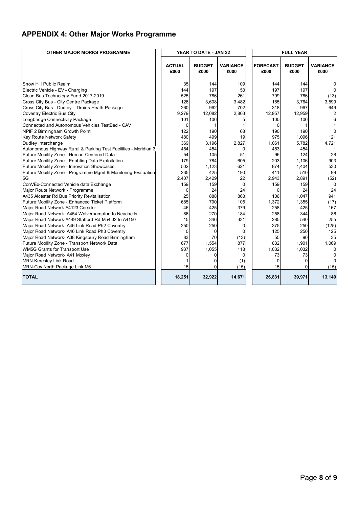## **APPENDIX 4: Other Major Works Programme**

| OTHER MAJOR MORKS PROGRAMME                                     |                       | YEAR TO DATE - JAN 22 |                         |  |                         |                       |                         |
|-----------------------------------------------------------------|-----------------------|-----------------------|-------------------------|--|-------------------------|-----------------------|-------------------------|
|                                                                 | <b>ACTUAL</b><br>£000 | <b>BUDGET</b><br>£000 | <b>VARIANCE</b><br>£000 |  | <b>FORECAST</b><br>£000 | <b>BUDGET</b><br>£000 | <b>VARIANCE</b><br>£000 |
| Snow Hill Public Realm                                          | 35                    | 144                   | 109                     |  | 144                     | 144                   | $\Omega$                |
| Electric Vehicle - EV - Charging                                | 144                   | 197                   | 53                      |  | 197                     | 197                   |                         |
| Clean Bus Technology Fund 2017-2019                             | 525                   | 786                   | 261                     |  | 799                     | 786                   | (13)                    |
| Cross City Bus - City Centre Package                            | 126                   | 3,608                 | 3,482                   |  | 165                     | 3,764                 | 3,599                   |
| Cross City Bus - Dudley - Druids Heath Package                  | 260                   | 962                   | 702                     |  | 318                     | 967                   | 649                     |
| Coventry Electric Bus City                                      | 9,279                 | 12,082                | 2,803                   |  | 12,957                  | 12,959                |                         |
| Longbridge Connectivity Package                                 | 101                   | 106                   | 5                       |  | 100                     | 106                   |                         |
| Connected and Autonomous Vehicles TestBed - CAV                 | 0                     | 1                     | 1                       |  | $\Omega$                |                       |                         |
| NPIF 2 Birmingham Growth Point                                  | 122                   | 190                   | 68                      |  | 190                     | 190                   |                         |
| Key Route Network Safety                                        | 480                   | 499                   | 19                      |  | 975                     | 1,096                 | 121                     |
| Dudley Interchange                                              | 369                   | 3,196                 | 2,827                   |  | 1,061                   | 5,782                 | 4,721                   |
| Autonomous Highway Rural & Parking Test Facilities - Meridian 3 | 454                   | 454                   | 0                       |  | 453                     | 454                   |                         |
| Future Mobility Zone - Human Centered Data                      | 54                    | 105                   | 51                      |  | 96                      | 124                   | 28                      |
| Future Mobility Zone - Enabling Data Exploitation               | 179                   | 784                   | 605                     |  | 203                     | 1.106                 | 903                     |
| Future Mobility Zone - Innovation Showcases                     | 502                   | 1,123                 | 621                     |  | 874                     | 1,404                 | 530                     |
| Future Mobility Zone - Programme Mgmt & Monitoring Evaluation   | 235                   | 425                   | 190                     |  | 411                     | 510                   | 99                      |
| 5G                                                              | 2,407                 | 2,429                 | 22                      |  | 2,943                   | 2,891                 | (52)                    |
| ConVEx-Connected Vehicle data Exchange                          | 159                   | 159                   | $\mathbf 0$             |  | 159                     | 159                   | $\Omega$                |
| Major Route Network - Programme                                 | ŋ                     | 24                    | 24                      |  | $\Omega$                | 24                    | 24                      |
| A435 Alcester Rd Bus Priority Revitalisation                    | 25                    | 888                   | 863                     |  | 106                     | 1.047                 | 941                     |
| Future Mobility Zone - Enhanced Ticket Platform                 | 685                   | 790                   | 105                     |  | 1,372                   | 1,355                 | (17)                    |
| Major Road Network-A4123 Corridor                               | 46                    | 425                   | 379                     |  | 258                     | 425                   | 167                     |
| Major Road Network-A454 Wolverhampton to Neachells              | 86                    | 270                   | 184                     |  | 258                     | 344                   | 86                      |
| Major Road Network-A449 Stafford Rd M54 J2 to A4150             | 15                    | 346                   | 331                     |  | 285                     | 540                   | 255                     |
| Major Road Network- A46 Link Road Ph2 Coventry                  | 250                   | 250                   | $\mathbf 0$             |  | 375                     | 250                   | (125)                   |
| Major Road Network- A46 Link Road Ph3 Coventry                  | $\Omega$              | 0                     | $\Omega$                |  | 125                     | 250                   | 125                     |
| Major Road Network- A38 Kingsbury Road Birmingham               | 83                    | 70                    | (13)                    |  | 55                      | 90                    | 35                      |
| Future Mobility Zone - Transport Network Data                   | 677                   | 1.554                 | 877                     |  | 832                     | 1.901                 | 1.069                   |
| WM5G Grants for Transport Use                                   | 937                   | 1,055                 | 118                     |  | 1,032                   | 1,032                 | ŋ                       |
| Major Road Network- A41 Moxley                                  |                       | 0                     | 0                       |  | 73                      | 73                    |                         |
| <b>MRN-Keresley Link Road</b>                                   |                       | 0                     | (1)                     |  | $\Omega$                | $\Omega$              |                         |
| MRN-Cov North Package Link M6                                   | 15                    | $\Omega$              | (15)                    |  | 15                      | $\Omega$              | (15)                    |
| <b>TOTAL</b>                                                    | 18,251                | 32,922                | 14,671                  |  | 26,831                  | 39,971                | 13,140                  |